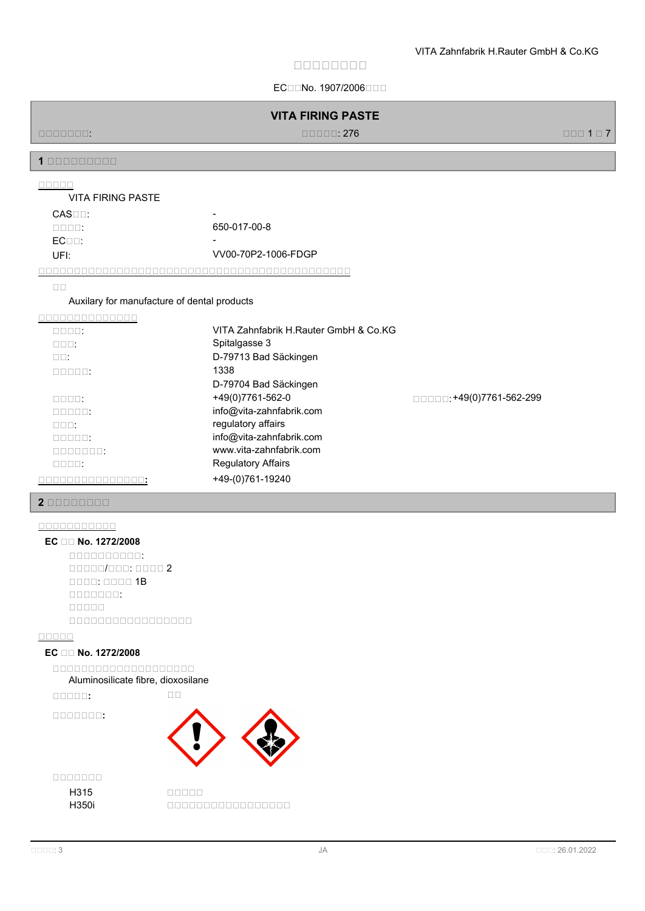ECIENo. 1907/2006

# **VITA FIRING PASTE**

 $\Box$ 000000:  $\Box$ 00000:276  $\Box$ 00000:276  $\Box$ 0000:276  $\Box$ 0000:276  $\Box$ 0000:000:

**1 安安安安安安安安安**

**安安安安安**

# VITA FIRING PASTE

| -CAS⊟⊟:      | $\overline{\phantom{a}}$ |
|--------------|--------------------------|
| EN EN E      | 650-017-00-8             |
| <b>FCOD:</b> | $\overline{\phantom{a}}$ |
| UFE:         | VV00-70P2-1006-FDGP      |

**安安安安安安安安安安安安安安安安安安安安安安安安安安安安安安安安安安安安安安安安安安安安**

**安安**

# Auxilary for manufacture of dental products

# **安安安安安安安安安安安安安安**

| nnnn:            | VITA Zahnfabrik H.Rauter GmbH & Co.KG |                         |
|------------------|---------------------------------------|-------------------------|
| nnn:             | Spitalgasse 3                         |                         |
| $\Box \Box$      | D-79713 Bad Säckingen                 |                         |
| nnnnn:           | 1338                                  |                         |
|                  | D-79704 Bad Säckingen                 |                         |
| nnnn:            | +49(0)7761-562-0                      | □□□□:+49(0)7761-562-299 |
| nnnn:            | info@vita-zahnfabrik.com              |                         |
| $\Box \Box \Box$ | regulatory affairs                    |                         |
| nnnn:            | info@vita-zahnfabrik.com              |                         |
| nnnnnn:          | www.vita-zahnfabrik.com               |                         |
| nnnn:            | <b>Regulatory Affairs</b>             |                         |
| _____________    | +49-(0)761-19240                      |                         |
|                  |                                       |                         |

#### **2 安安安安安安安安**

#### **安安安安安安安安安安安**

#### **EC 安安 No. 1272/2008**

規規規規規規規規規規: 規規規規規/規規規: 規規規規 2 規規規規: 規規規規 1B 規規規規規規規: 規規規規規  $100000000000000000$ 

#### **安安安安安**

#### **EC 安安 No. 1272/2008**

**安安安安安安安安安安安安安安安安安安安安** Aluminosilicate fibre, dioxosilane

**安安安安安:** 規規





**安安安安安安安**

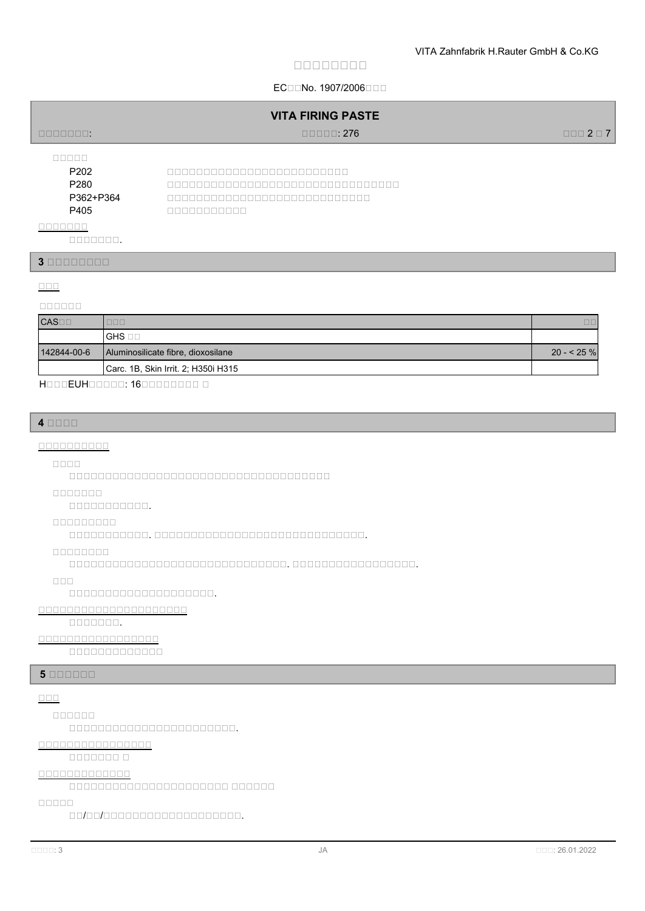#### ECIENo. 1907/2006

| <b>VITA FIRING PASTE</b>                                   |                                |                                                                |  |
|------------------------------------------------------------|--------------------------------|----------------------------------------------------------------|--|
| 0000000:                                                   | $\Box \Box \Box \Box \Box$ 276 | $\Box$ $\Box$ $\Box$ $\Box$ $\Box$ $\Box$ $\Box$ $\Box$ $\Box$ |  |
| nnnnn<br>P <sub>202</sub><br>P <sub>280</sub><br>P362+P364 | 10000000000000000000000        |                                                                |  |
| P405                                                       | nnnnnnnnnn                     |                                                                |  |

#### **3 安安安安安安安安**

#### **安安安**

#### **安安安安安安**

| <b>CAS</b>  |                                     | n n         |
|-------------|-------------------------------------|-------------|
|             | lghs ⊡⊟                             |             |
| 142844-00-6 | Aluminosilicate fibre, dioxosilane  | $20 - 25\%$ |
|             | Carc. 1B, Skin Irrit. 2; H350i H315 |             |

# HOOOEUHOOOOO: 16DOOOOOOOOOO

#### **4 安安安安**

#### **安安安安安安安安安安**

#### **安安安安**

規規規規規規規規規規規規規規規規規規規規規規規規規規規規規規規規規規規規

#### **安安安安安安安**

規規規規規規規規規規規.

#### **安安安安安安安安安**

規規規規規規規規規規規. 規規規規規規規規規規規規規規規規規規規規規規規規規規規規規.

#### **安安安安安安安安**

規規規規規規規規規規規規規規規規規規規規規規規規規規規規規規. 規規規規規規規規規規規規規規規規規.

#### **安安安**

規規規規規規規規規規規規規規規規規規規規.

# **安安安安安安安安安安安安安安安安安安安安安**

規規規規規規規.

# **安安安安安安安安安安安安安安安安安**

規規規規規規規規規規規規規

#### **5 BBBBBB**

# **安安安**

**安安安安安安**

規規規規規規規規規規規規規規規規規規規規規規規.

#### **安安安安安安安安安安安安安安安安**

規規規規規規規 規

# **安安安安安安安安安安安安安**

規規規規規規規規規規規規規規規規規規規規規規 規規規規規規

#### **安安安安安**

規規/規規/規規規規規規規規規規規規規規規規規規規.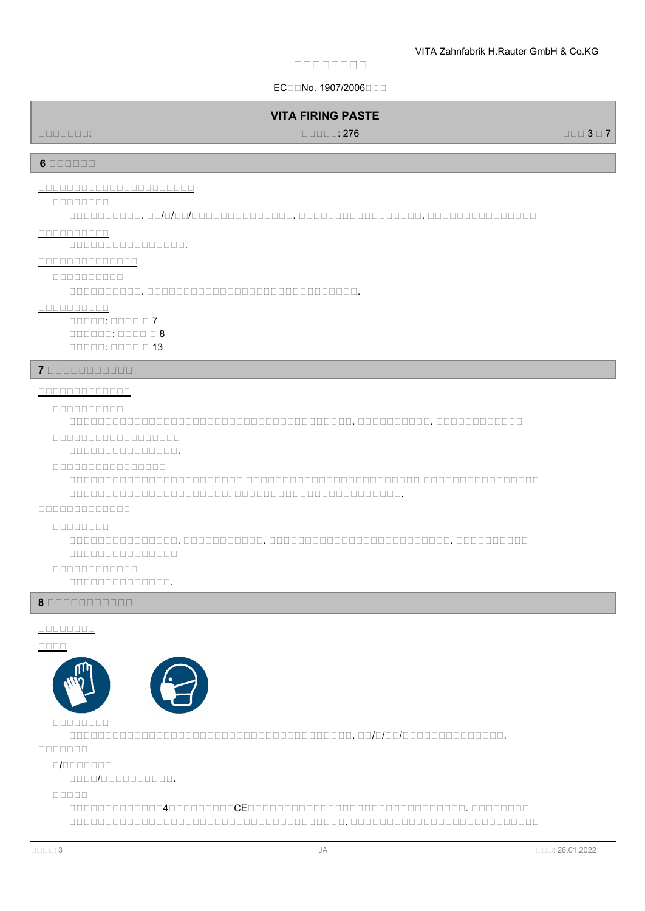#### ECIENo. 1907/2006

# **VITA FIRING PASTE**

規規規規規規規: 規規規規規: 276 規規規 3 規 7

**6 安安安安安安**

**安安安安安安安安安安安安安安安安安安安安安安**

#### **安安安安安安安安**

BEEREREN EN POLITIES HAND AN DESTINATION AN ESTENDADO EN PRODUCTO EN ENGAN DE EN ENGAN DE EN ENGAN DEL EN ENGA<br>DE ENGAN EN ENGAN DE ENGAN DE ENGAN DE ENGAN DE ENGAN DEL ENGAN DE ENGAN DEL ENGAN DE ENGAN DEL ENGAN DEL ENGA

#### **安安安安安安安安安安**

規規規規規規規規規規規規規規規規.

#### **安安安安安安安安安安安安安安**

**安安安安安安安安安安**

規規規規規規規規規規. 規規規規規規規規規規規規規規規規規規規規規規規規規規規規規.

#### **安安安安安安安安安安**

規規規規規: 規規規規 規 7 規規規規規規: 規規規規 規 8 規規規規規: 規規規規 規 13

#### **7 安安安安安安安安安安安**

#### **安安安安安安安安安安安安安**

**安安安安安安安安安安**

規規規規規規規規規規規規規規規規規規規規規規規規規規規規規規規規規規規規規規規. 規規規規規規規規規規. 規規規規規規規規規規規規

# **安安安安安安安安安安安安安安安安安安**

規規規規規規規規規規規規規規規.

#### **安安安安安安安安安安安安安安安安**

規規規規規規規規規規規規規規規規規規規規規規規規 規規規規規規規規規規規規規規規規規規規規規規規規 規規規規規規規規規規規規規規規規 規規規規規規規規規規規規規規規規規規規規規規. 規規規規規規規規規規規規規規規規規規規規規規規.

# **安安安安安安安安安安安安安**

**安安安安安安安安**

規規規規規規規規規規規規規規規. 規規規規規規規規規規規. 規規規規規規規規規規規規規規規規規規規規規規規規規. 規規規規規規規規規規 規規規規規規規規規規規規規規規

# **安安安安安安安安安安安安**

規規規規規規規規規規規規規規.

#### **8 安安安安安安安安安安安**

#### **安安安安安安安安**

#### **安安安安**





#### **安安安安安安安安**

規規規規規規規規規規規規規規規規規規規規規規規規規規規規規規規規規規規規規規規. 規規/規/規規/規規規規規規規規規規規規規規.

#### **安安安安安安安**

#### **安/安安安安安安安**

規規規規/規規規規規規規規規規.

#### **安安安安安**

規規規規規規規規規規規規規4規規規規規規規規規CE規規規規規規規規規規規規規規規規規規規規規規規規規規規規規規. 規規規規規規規規 規規規規規規規規規規規規規規規規規規規規規規規規規規規規規規規規規規規規規規. 規規規規規規規規規規規規規規規規規規規規規規規規規規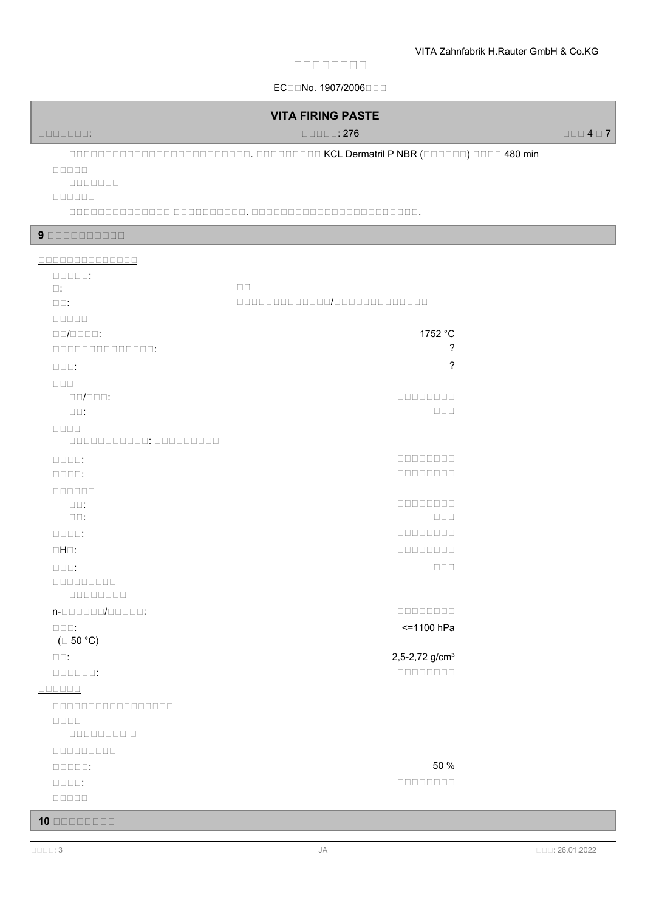# ECIENo. 1907/2006日目目

| 0000000:                                                                                                                          | <b>VITA FIRING PASTE</b><br>$\Box$ $\Box$ $\Box$ $\Box$ : 276 | $\Box \Box \Box 4 \Box 7$ |
|-----------------------------------------------------------------------------------------------------------------------------------|---------------------------------------------------------------|---------------------------|
| 0000000                                                                                                                           |                                                               |                           |
| 90000000000                                                                                                                       |                                                               |                           |
| 0000000000000<br>$\Box \Box \Box \Box \Box$<br>$\square$ :<br>$\square \square$ :                                                 | $\square$<br>$\square$                                        |                           |
| $\Box\Box/\Box\Box\Box\Box:$<br>00000000000000:                                                                                   | 1752 °C<br>?                                                  |                           |
| $\square \,\square \,\square$<br>$\Box \Box \Box$<br>$\Box \Box / \Box \Box \Box$<br>$\square \square$ :<br>$\Box \Box \Box \Box$ | $\overline{\phantom{0}}$<br>00000000<br>$\Box \Box \Box$      |                           |
| 000000000000: 000000000<br>$\Box\Box\Box\Box\,.$<br>$\Box\Box\Box\Box\ .$<br>888888                                               | 00000000<br>$000000000$                                       |                           |
| $\square$ $\square$ :<br>$\square \ \square$<br>$\Box\Box\Box\Box\,$                                                              | 00000000<br>$\square \, \square \, \square$<br>00000000       |                           |
| $\Box H \Box$ :<br>$\square \, \square \, \square$<br>000000000<br>00000000                                                       | 00000000<br>$\Box$ $\Box$ $\Box$                              |                           |
| $n$ -000000/00000:<br>$\square \, \square \, \square$                                                                             | 00000000<br><= 1100 hPa                                       |                           |

# ( $\Box$  50 °C)  $\Box$ : 2,5-2,72 g/cm $^{3}$

規規規規規規: 規規規規規規規規

# **安安安安安安**

| 8 8 8 8 8 8 8 8 8 8 8 8 8 8 8 8 |          |
|---------------------------------|----------|
| 000C                            |          |
| 000000000                       |          |
| 88888888                        |          |
| $\Box \Box \Box \Box \Box$      | 50 %     |
| $\square\square\square\square$  | 00000000 |
|                                 |          |

# 規規規規: 規規規規規規規規

# **10 安安安安安安安安**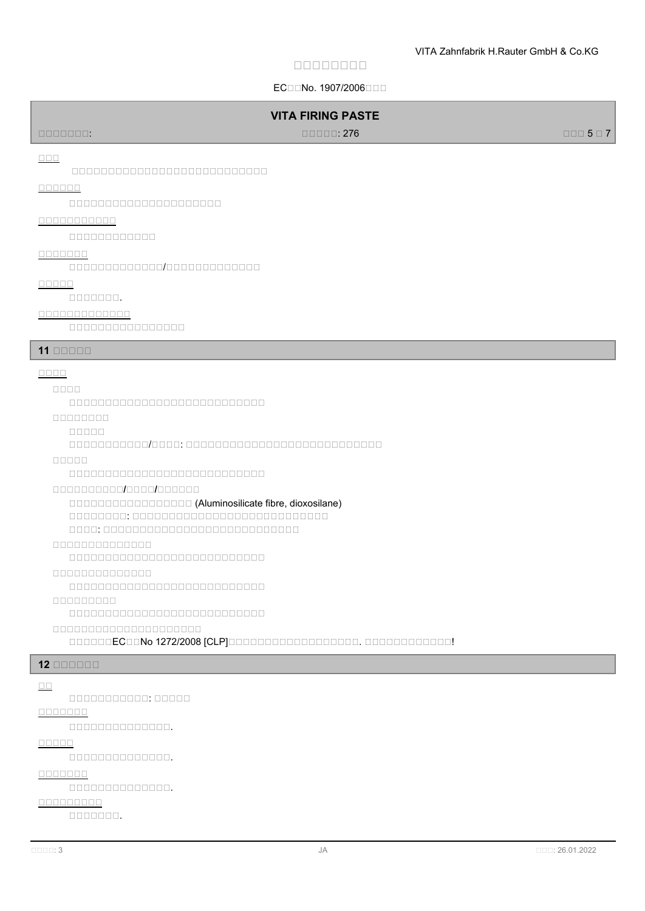#### ECIENo. 1907/2006

# **VITA FIRING PASTE** 規規規規規規規: 規規規規規: 276 規規規 5 規 7 規規規規規規規規規規規規規規規規規規規規規規規規規規規 **安安安安安安** 規規規規規規規規規規規規規規規規規規規規規

**安安安安安安安安安安安**

規規規規規規規規規規規規

**安安安安安安安**

規規規規規規規規規規規規規/規規規規規規規規規規規規規

#### **安安安安安**

**安安安**

規規規規規規規.

**安安安安安安安安安安安安安**

 $100000000000000000$ 

# **11 安安安安安**

#### **安安安安**

#### **安安安安**

規規規規規規規規規規規規規規規規規規規規規規規規規規規

**安安安安安安安安**

規規規規規

規規規規規規規規規規規/規規規規: 規規規規規規規規規規規規規規規規規規規規規規規規規規規

#### **安安安安安**

規規規規規規規規規規規規規規規規規規規規規規規規規規規

**安安安安安安安安安安/安安安安/安安安安安安**

規規規規規規規規規規規規規規規規規 (Aluminosilicate fibre, dioxosilane)

規規規規規規規規: 規規規規規規規規規規規規規規規規規規規規規規規規規規規

規規規規: 規規規規規規規規規規規規規規規規規規規規規規規規規規規

**安安安安安安安安安安安安安安**

規規規規規規規規規規規規規規規規規規規規規規規規規規規

#### **安安安安安安安安安安安安安安**

規規規規規規規規規規規規規規規規規規規規規規規規規規規

**安安安安安安安安安**

規規規規規規規規規規規規規規規規規規規規規規規規規規規

**安安安安安安安安安安安安安安安安安安安安安**

adaadaECaaNo 1272/2008 [CLP]adaadaadaadaadaadaada. aadaadaadaa!

#### **12 安安安安安安**

# **女子**

規規規規規規規規規規規: 規規規規規

# **安安安安安安安**

規規規規規規規規規規規規規規.

# **安安安安安**

規規規規規規規規規規規規規規.

# **安安安安安安安**

規規規規規規規規規規規規規規.

# **安安安安安安安安安**

規規規規規規規.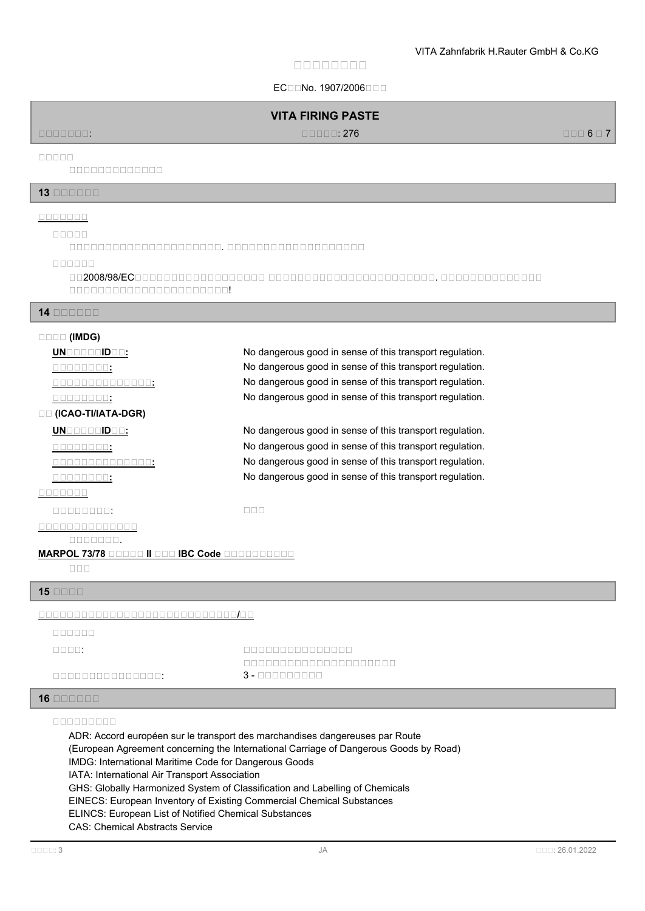#### ECIENo. 1907/2006日目

#### 規規規規規規規: 規規規規規: 276 規規規 6 規 7

**VITA FIRING PASTE**

#### **安安安安安**

規規規規規規規規規規規規規

# **13 安安安安安安**

#### **安安安安安安安**

**安安安安安**

規規規規規規規規規規規規規規規規規規規規規. 規規規規規規規規規規規規規規規規規規規

#### **安安安安安安**

規規2008/98/EC規規規規規規規規規規規規規規規規規規 規規規規規規規規規規規規規規規規規規規規規規規. 規規規規規規規規規規規規規規 規規規規規規規規規規規規規規規規規規規規規規!

#### **14 安安安安安安**

#### **BBBC** (IMDG)

**UN**BERSIDEN: No dangerous good in sense of this transport regulation.

**COLOGATE:** No dangerous good in sense of this transport regulation.

**THE SEST OF STATE SETS SET SETS SET SERVIS SERVIS SERVIS SERVIS SERVIS SERVIS SERVIS SERVIS SERVIS SERVIS SERVIS** 

**COLOGATE:** No dangerous good in sense of this transport regulation.

# **安安 (ICAO-TI/IATA-DGR)**

**UN**BERSIDEN: No dangerous good in sense of this transport regulation.

**COLOGATE:** No dangerous good in sense of this transport regulation.

**安安安安安安安安安安安安安安:** No dangerous good in sense of this transport regulation.

# **THE STREPT STREPT STREPT STREPT STREPT STREPT STREPT STREPT STREPT STREPT STREPT STREPT STREPT STREPT STREPT ST**

**安安安安安安安**

規規規規規規規規: 規規規

**安安安安安安安安安安安安安安**

規規規規規規規.

#### **MARPOL 73/78 GOODD II GOO IBC Code GOODDOODDOO**

規規規

#### **15 RADA**

**安安安安安安安安安安安安安安安安安安安安安安安安安安安安/安安**

|     | . . |   | . . |
|-----|-----|---|-----|
| . . | .   | . |     |

規規規規:

規規規規規規規規規規規規規規規: 3 - 規規規規規規規規規

規規規規規規規規規規規規規規規 規規規規規規規規規規規規規規規規規規規規規

#### **16 REBERIER**

**安安安安安安安安安**

ADR: Accord européen sur le transport des marchandises dangereuses par Route (European Agreement concerning the International Carriage of Dangerous Goods by Road) IMDG: International Maritime Code for Dangerous Goods IATA: International Air Transport Association GHS: Globally Harmonized System of Classification and Labelling of Chemicals EINECS: European Inventory of Existing Commercial Chemical Substances ELINCS: European List of Notified Chemical Substances CAS: Chemical Abstracts Service